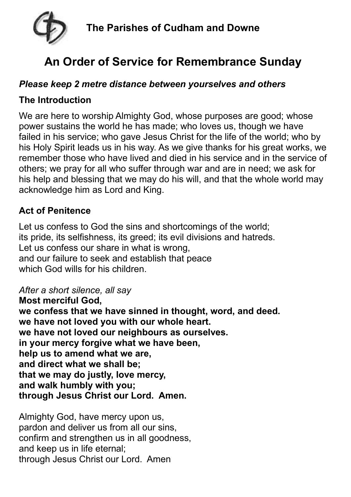

# **An Order of Service for Remembrance Sunday**

## *Please keep 2 metre distance between yourselves and others*

## **The Introduction**

We are here to worship Almighty God, whose purposes are good; whose power sustains the world he has made; who loves us, though we have failed in his service; who gave Jesus Christ for the life of the world; who by his Holy Spirit leads us in his way. As we give thanks for his great works, we remember those who have lived and died in his service and in the service of others; we pray for all who suffer through war and are in need; we ask for his help and blessing that we may do his will, and that the whole world may acknowledge him as Lord and King.

# **Act of Penitence**

Let us confess to God the sins and shortcomings of the world; its pride, its selfishness, its greed; its evil divisions and hatreds. Let us confess our share in what is wrong, and our failure to seek and establish that peace which God wills for his children.

#### *After a short silence, all say*

**Most merciful God, we confess that we have sinned in thought, word, and deed. we have not loved you with our whole heart. we have not loved our neighbours as ourselves. in your mercy forgive what we have been, help us to amend what we are, and direct what we shall be; that we may do justly, love mercy, and walk humbly with you; through Jesus Christ our Lord. Amen.**

Almighty God, have mercy upon us, pardon and deliver us from all our sins, confirm and strengthen us in all goodness, and keep us in life eternal; through Jesus Christ our Lord. Amen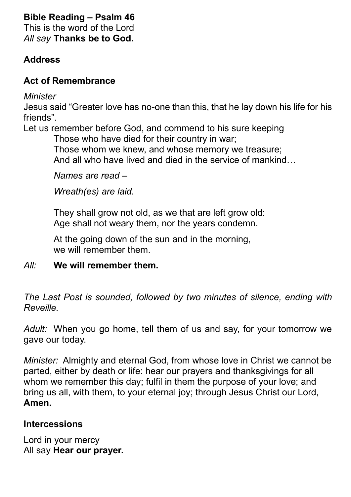# **Bible Reading – Psalm 46**

This is the word of the Lord *All say* **Thanks be to God.**

## **Address**

# **Act of Remembrance**

*Minister*

Jesus said "Greater love has no-one than this, that he lay down his life for his friends".

Let us remember before God, and commend to his sure keeping

Those who have died for their country in war; Those whom we knew, and whose memory we treasure; And all who have lived and died in the service of mankind…

*Names are read –*

*Wreath(es) are laid.*

They shall grow not old, as we that are left grow old: Age shall not weary them, nor the years condemn.

At the going down of the sun and in the morning, we will remember them.

*All:* **We will remember them.**

*The Last Post is sounded, followed by two minutes of silence, ending with Reveille.*

*Adult:* When you go home, tell them of us and say, for your tomorrow we gave our today.

*Minister:* Almighty and eternal God, from whose love in Christ we cannot be parted, either by death or life: hear our prayers and thanksgivings for all whom we remember this day; fulfil in them the purpose of your love; and bring us all, with them, to your eternal joy; through Jesus Christ our Lord, **Amen.**

# **Intercessions**

Lord in your mercy All say **Hear our prayer.**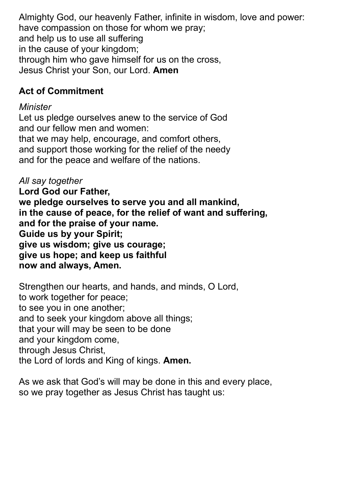Almighty God, our heavenly Father, infinite in wisdom, love and power: have compassion on those for whom we pray; and help us to use all suffering in the cause of your kingdom; through him who gave himself for us on the cross, Jesus Christ your Son, our Lord. **Amen**

## **Act of Commitment**

#### *Minister*

Let us pledge ourselves anew to the service of God and our fellow men and women: that we may help, encourage, and comfort others, and support those working for the relief of the needy and for the peace and welfare of the nations.

*All say together* **Lord God our Father, we pledge ourselves to serve you and all mankind, in the cause of peace, for the relief of want and suffering, and for the praise of your name. Guide us by your Spirit; give us wisdom; give us courage; give us hope; and keep us faithful now and always, Amen.**

Strengthen our hearts, and hands, and minds, O Lord, to work together for peace; to see you in one another; and to seek your kingdom above all things; that your will may be seen to be done and your kingdom come, through Jesus Christ, the Lord of lords and King of kings. **Amen.**

As we ask that God's will may be done in this and every place, so we pray together as Jesus Christ has taught us: